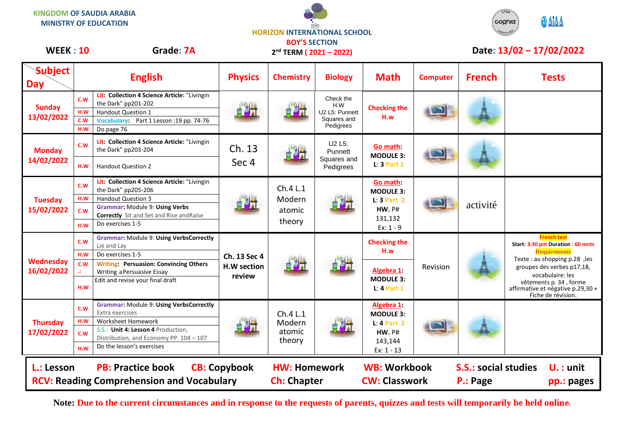**KINGDOM OF SAUDIA ARABIA MINISTRY OF EDUCATION**





## WEEK : 10 Grade: 7A 2<sup>nd</sup> TERM (2021 – 2022) Date: 13/02 – 17/02/2022

| <b>Subject</b><br><b>Day</b>                                                                                      | <b>English</b>                                                                                                                                                                                                                               | <b>Physics</b>                        | <b>Chemistry</b>                          | <b>Biology</b>                                                 | <b>Math</b>                                                                                 | <b>Computer</b> | <b>French</b>                                                        | <b>Tests</b>                                                                                                                                                                                                                                           |
|-------------------------------------------------------------------------------------------------------------------|----------------------------------------------------------------------------------------------------------------------------------------------------------------------------------------------------------------------------------------------|---------------------------------------|-------------------------------------------|----------------------------------------------------------------|---------------------------------------------------------------------------------------------|-----------------|----------------------------------------------------------------------|--------------------------------------------------------------------------------------------------------------------------------------------------------------------------------------------------------------------------------------------------------|
| <b>Sunday</b><br>13/02/2022                                                                                       | Lit: Collection 4 Science Article: "Livingin<br>C.W<br>the Dark" pp201-202<br>H.W<br><b>Handout Question 1</b><br>c.w<br>Vocabulary: Part 1 Lesson : 19 pp. 74-76<br>H.W<br>Do page 76                                                       | 自制计                                   |                                           | Check the<br>H.W<br>U2 L5: Punnett<br>Squares and<br>Pedigrees | <b>Checking the</b><br>H.w                                                                  |                 |                                                                      |                                                                                                                                                                                                                                                        |
| <b>Monday</b><br>14/02/2022                                                                                       | Lit: Collection 4 Science Article: "Livingin<br>c.w<br>the Dark" pp203-204<br><b>Handout Question 2</b><br>H.W                                                                                                                               | Ch. 13<br>Sec 4                       |                                           | U2 L5:<br>Punnett<br>Squares and<br>Pedigrees                  | Go math:<br><b>MODULE 3:</b><br>$L: 3$ Part 1                                               |                 |                                                                      |                                                                                                                                                                                                                                                        |
| <b>Tuesday</b><br>15/02/2022                                                                                      | Lit: Collection 4 Science Article: "Livingin<br>c.w<br>the Dark" pp205-206<br>H.W<br><b>Handout Question 3</b><br><b>Grammar: Module 9: Using Verbs</b><br>C.W<br><b>Correctly</b> Sit and Set and Rise and Raise<br>Do exercises 1-5<br>H.W |                                       | Ch.4 L.1<br>Modern<br>atomic<br>theory    |                                                                | Go math:<br><b>MODULE 3:</b><br>$L: 3$ Part 2<br><b>HW. P#</b><br>131,132<br>$Ex: 1 - 9$    |                 | activité                                                             |                                                                                                                                                                                                                                                        |
| Wednesday<br>16/02/2022                                                                                           | <b>Grammar: Module 9: Using VerbsCorrectly</b><br>C.W<br>Lie and Lay<br>Do exercises 1-5<br>H.W<br><b>Writing: Persuasion: Convincing Others</b><br>c.w<br>Writing a Persuasive Essay<br>Edit and revise your final draft<br>H.W             | Ch. 13 Sec 4<br>H.W section<br>review | 自喝才                                       |                                                                | <b>Checking the</b><br>H.w<br>Algebra 1:<br><b>MODULE 3:</b><br>$L: 4$ Part 1               | Revision        |                                                                      | <b>French test</b><br>Start: 3:30 pm Duration : 60 mnts<br><b>Requirements</b><br>Texte : au shopping p.28, les<br>groupes des verbes p17,18,<br>vocabulaire: les<br>vêtements p. 34, forme<br>affirmative et négative p.29,30 +<br>Fiche de révision. |
| <b>Thursday</b><br>17/02/2022                                                                                     | <b>Grammar: Module 9: Using VerbsCorrectly</b><br>C.W<br>Extra exercises<br><b>Worksheet Homework</b><br>H.W<br>S.S.: Unit 4: Lesson 4 Production,<br>c.w<br>Distribution, and Economy PP. 104 - 107<br>Do the lesson's exercises<br>H.W     |                                       | Ch.4 L.1<br>Modern<br>atomic<br>theory    |                                                                | Algebra 1:<br><b>MODULE 3:</b><br>$L: 4$ Part 2<br><b>HW. P#</b><br>143,144<br>$Ex: 1 - 13$ |                 |                                                                      |                                                                                                                                                                                                                                                        |
| <b>PB: Practice book</b><br><b>CB: Copybook</b><br>L.: Lesson<br><b>RCV: Reading Comprehension and Vocabulary</b> |                                                                                                                                                                                                                                              |                                       | <b>HW: Homework</b><br><b>Ch: Chapter</b> |                                                                | <b>WB: Workbook</b><br><b>CW: Classwork</b>                                                 |                 | <b>S.S.: social studies</b><br>$U.$ : unit<br>P.: Page<br>pp.: pages |                                                                                                                                                                                                                                                        |

**Note: Due to the current circumstances and in response to the requests of parents, quizzes and tests will temporarily be held online.**